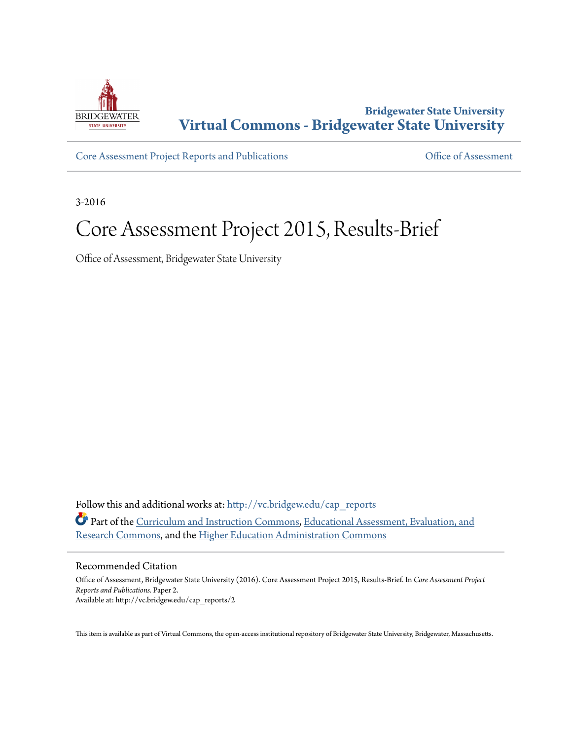

## **Bridgewater State University [Virtual Commons - Bridgewater State University](http://vc.bridgew.edu?utm_source=vc.bridgew.edu%2Fcap_reports%2F2&utm_medium=PDF&utm_campaign=PDFCoverPages)**

[Core Assessment Project Reports and Publications](http://vc.bridgew.edu/cap_reports?utm_source=vc.bridgew.edu%2Fcap_reports%2F2&utm_medium=PDF&utm_campaign=PDFCoverPages) [Office of Assessment](http://vc.bridgew.edu/inst_assessment?utm_source=vc.bridgew.edu%2Fcap_reports%2F2&utm_medium=PDF&utm_campaign=PDFCoverPages)

3-2016

# Core Assessment Project 2015, Results-Brief

Office of Assessment, Bridgewater State University

Follow this and additional works at: [http://vc.bridgew.edu/cap\\_reports](http://vc.bridgew.edu/cap_reports?utm_source=vc.bridgew.edu%2Fcap_reports%2F2&utm_medium=PDF&utm_campaign=PDFCoverPages) Part of the [Curriculum and Instruction Commons](http://network.bepress.com/hgg/discipline/786?utm_source=vc.bridgew.edu%2Fcap_reports%2F2&utm_medium=PDF&utm_campaign=PDFCoverPages), [Educational Assessment, Evaluation, and](http://network.bepress.com/hgg/discipline/796?utm_source=vc.bridgew.edu%2Fcap_reports%2F2&utm_medium=PDF&utm_campaign=PDFCoverPages) [Research Commons,](http://network.bepress.com/hgg/discipline/796?utm_source=vc.bridgew.edu%2Fcap_reports%2F2&utm_medium=PDF&utm_campaign=PDFCoverPages) and the [Higher Education Administration Commons](http://network.bepress.com/hgg/discipline/791?utm_source=vc.bridgew.edu%2Fcap_reports%2F2&utm_medium=PDF&utm_campaign=PDFCoverPages)

## Recommended Citation

Office of Assessment, Bridgewater State University (2016). Core Assessment Project 2015, Results-Brief. In *Core Assessment Project Reports and Publications.* Paper 2. Available at: http://vc.bridgew.edu/cap\_reports/2

This item is available as part of Virtual Commons, the open-access institutional repository of Bridgewater State University, Bridgewater, Massachusetts.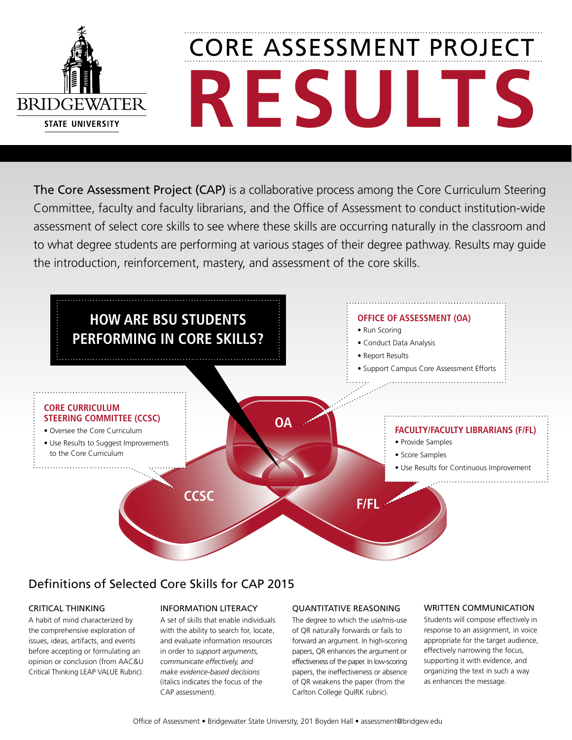

# **Results** CORE Assessment Project

The Core Assessment Project (CAP) is a collaborative process among the Core Curriculum Steering Committee, faculty and faculty librarians, and the Office of Assessment to conduct institution-wide assessment of select core skills to see where these skills are occurring naturally in the classroom and to what degree students are performing at various stages of their degree pathway. Results may guide the introduction, reinforcement, mastery, and assessment of the core skills.



## Definitions of Selected Core Skills for CAP 2015

## critical thinking

A habit of mind characterized by the comprehensive exploration of issues, ideas, artifacts, and events before accepting or formulating an opinion or conclusion (from AAC&U Critical Thinking LEAP VALUE Rubric).

## Information Literacy

A set of skills that enable individuals with the ability to search for, locate, and evaluate information resources in order to *support arguments, communicate effectively, and make evidence-based decisions*  (italics indicates the focus of the CAP assessment).

## Quantitative Reasoning

The degree to which the use/mis-use of QR naturally forwards or fails to forward an argument. In high-scoring papers, QR enhances the argument or effectiveness of the paper. In low-scoring papers, the ineffectiveness or absence of QR weakens the paper (from the Carlton College QuIRK rubric).

## WRITTEN COMMUNICATION

Students will compose effectively in response to an assignment, in voice appropriate for the target audience, effectively narrowing the focus, supporting it with evidence, and organizing the text in such a way as enhances the message.